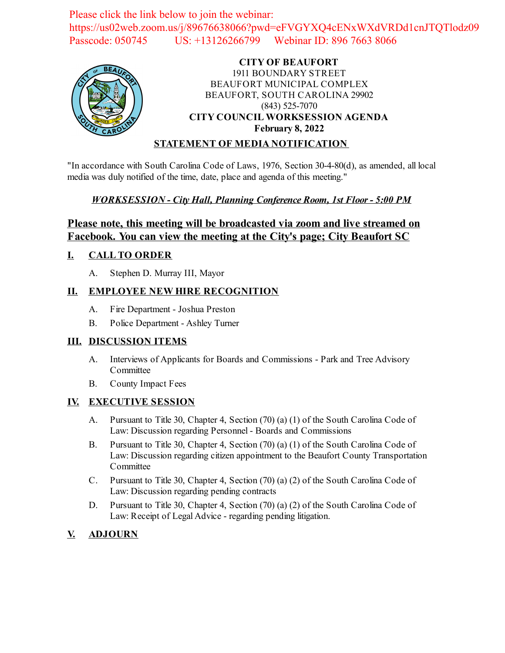Please click the link below to join the webinar: https://us02web.zoom.us/j/89676638066?pwd=eFVGYXQ4cENxWXdVRDd1cnJTQTlodz09 Passcode: 050745 US: +13126266799 Webinar ID: 896 7663 8066



### **CITY OF BEAUFORT** 1911 BOUNDARY STREET BEAUFORT MUNICIPAL COMPLEX BEAUFORT, SOUTH CAROLINA 29902 (843) 525-7070 **CITY COUNCIL WORKSESSION AGENDA February 8, 2022**

### **STATEMENT OF MEDIA NOTIFICATION**

"In accordance with South Carolina Code of Laws, 1976, Section 30-4-80(d), as amended, all local media was duly notified of the time, date, place and agenda of this meeting."

### *WORKSESSION - City Hall, Planning Conference Room, 1st Floor - 5:00 PM*

## **Please note, this meeting will be broadcasted via zoom and live streamed on Facebook. You can view the meeting at the City's page; City Beaufort SC**

#### **I. CALL TO ORDER**

A. Stephen D. Murray III, Mayor

### **II. EMPLOYEE NEW HIRE RECOGNITION**

- A. Fire Department Joshua Preston
- B. Police Department Ashley Turner

### **III. DISCUSSION ITEMS**

- A. Interviews of Applicants for Boards and Commissions Park and Tree Advisory Committee
- B. County Impact Fees

### **IV. EXECUTIVE SESSION**

- A. Pursuant to Title 30, Chapter 4, Section (70) (a) (1) of the South Carolina Code of Law: Discussion regarding Personnel - Boards and Commissions
- B. Pursuant to Title 30, Chapter 4, Section (70) (a) (1) of the South Carolina Code of Law: Discussion regarding citizen appointment to the Beaufort County Transportation Committee
- C. Pursuant to Title 30, Chapter 4, Section (70) (a) (2) of the South Carolina Code of Law: Discussion regarding pending contracts
- D. Pursuant to Title 30, Chapter 4, Section (70) (a) (2) of the South Carolina Code of Law: Receipt of Legal Advice - regarding pending litigation.

## **V. ADJOURN**